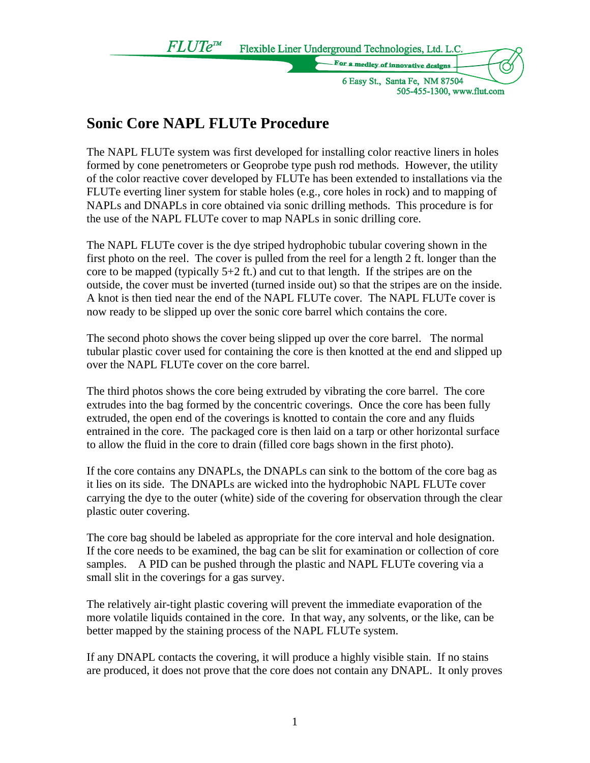Flexible Liner Underground Technologies, Ltd. L.C.

dlev of innovativa de

6 Easy St., Santa Fe, NM 87504 505-455-1300, www.flut.com

## **Sonic Core NAPL FLUTe Procedure**

 $FLUTE^{m}$ 

The NAPL FLUTe system was first developed for installing color reactive liners in holes formed by cone penetrometers or Geoprobe type push rod methods. However, the utility of the color reactive cover developed by FLUTe has been extended to installations via the FLUTe everting liner system for stable holes (e.g., core holes in rock) and to mapping of NAPLs and DNAPLs in core obtained via sonic drilling methods. This procedure is for the use of the NAPL FLUTe cover to map NAPLs in sonic drilling core.

The NAPL FLUTe cover is the dye striped hydrophobic tubular covering shown in the first photo on the reel. The cover is pulled from the reel for a length 2 ft. longer than the core to be mapped (typically 5+2 ft.) and cut to that length. If the stripes are on the outside, the cover must be inverted (turned inside out) so that the stripes are on the inside. A knot is then tied near the end of the NAPL FLUTe cover. The NAPL FLUTe cover is now ready to be slipped up over the sonic core barrel which contains the core.

The second photo shows the cover being slipped up over the core barrel. The normal tubular plastic cover used for containing the core is then knotted at the end and slipped up over the NAPL FLUTe cover on the core barrel.

The third photos shows the core being extruded by vibrating the core barrel. The core extrudes into the bag formed by the concentric coverings. Once the core has been fully extruded, the open end of the coverings is knotted to contain the core and any fluids entrained in the core. The packaged core is then laid on a tarp or other horizontal surface to allow the fluid in the core to drain (filled core bags shown in the first photo).

If the core contains any DNAPLs, the DNAPLs can sink to the bottom of the core bag as it lies on its side. The DNAPLs are wicked into the hydrophobic NAPL FLUTe cover carrying the dye to the outer (white) side of the covering for observation through the clear plastic outer covering.

The core bag should be labeled as appropriate for the core interval and hole designation. If the core needs to be examined, the bag can be slit for examination or collection of core samples. A PID can be pushed through the plastic and NAPL FLUTe covering via a small slit in the coverings for a gas survey.

The relatively air-tight plastic covering will prevent the immediate evaporation of the more volatile liquids contained in the core. In that way, any solvents, or the like, can be better mapped by the staining process of the NAPL FLUTe system.

If any DNAPL contacts the covering, it will produce a highly visible stain. If no stains are produced, it does not prove that the core does not contain any DNAPL. It only proves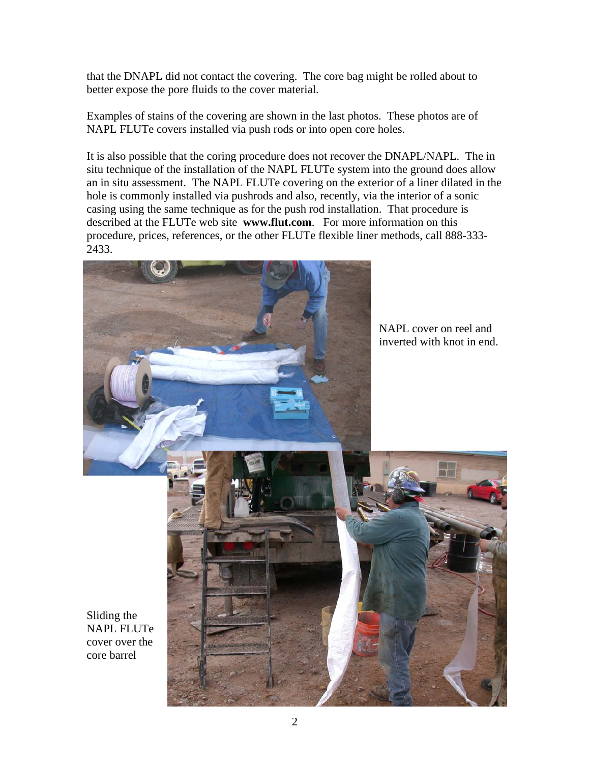that the DNAPL did not contact the covering. The core bag might be rolled about to better expose the pore fluids to the cover material.

Examples of stains of the covering are shown in the last photos. These photos are of NAPL FLUTe covers installed via push rods or into open core holes.

It is also possible that the coring procedure does not recover the DNAPL/NAPL. The in situ technique of the installation of the NAPL FLUTe system into the ground does allow an in situ assessment. The NAPL FLUTe covering on the exterior of a liner dilated in the hole is commonly installed via pushrods and also, recently, via the interior of a sonic casing using the same technique as for the push rod installation. That procedure is described at the FLUTe web site **www.flut.com**. For more information on this procedure, prices, references, or the other FLUTe flexible liner methods, call 888-333- 2433.



Sliding the NAPL FLUTe cover over the core barrel